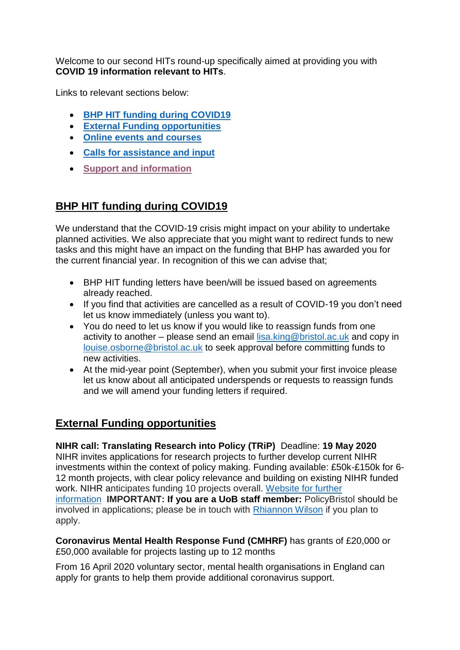Welcome to our second HITs round-up specifically aimed at providing you with **COVID 19 information relevant to HITs**.

Links to relevant sections below:

- **BHP HIT funding during COVID19**
- **[External Funding opportunities](#page-0-0)**
- **[Online events and courses](#page-1-0)**
- **[Calls for assistance and input](#page-1-1)**
- **[Support and information](#page-2-0)**

# **BHP HIT funding during COVID19**

We understand that the COVID-19 crisis might impact on your ability to undertake planned activities. We also appreciate that you might want to redirect funds to new tasks and this might have an impact on the funding that BHP has awarded you for the current financial year. In recognition of this we can advise that;

- BHP HIT funding letters have been/will be issued based on agreements already reached.
- If you find that activities are cancelled as a result of COVID-19 you don't need let us know immediately (unless you want to).
- You do need to let us know if you would like to reassign funds from one activity to another – please send an email  $lisa.king@bristol.ac.uk$  and copy in [louise.osborne@bristol.ac.uk](mailto:louise.osborne@bristol.ac.uk) to seek approval before committing funds to new activities.
- At the mid-year point (September), when you submit your first invoice please let us know about all anticipated underspends or requests to reassign funds and we will amend your funding letters if required.

## <span id="page-0-0"></span>**External Funding opportunities**

**NIHR call: Translating Research into Policy (TRiP)** Deadline: **19 May 2020** NIHR invites applications for research projects to further develop current NIHR investments within the context of policy making. Funding available: £50k-£150k for 6- 12 month projects, with clear policy relevance and building on existing NIHR funded work. NIHR anticipates funding 10 projects overall. [Website for further](https://www.nihr.ac.uk/documents/translating-research-into-policy-trip-researchcall-specification/24602)  [information](https://www.nihr.ac.uk/documents/translating-research-into-policy-trip-researchcall-specification/24602) **IMPORTANT: If you are a UoB staff member:** PolicyBristol should be involved in applications; please be in touch with [Rhiannon Wilson](mailto:rhiannon.wilson@bristol.ac.uk) if you plan to apply.

**Coronavirus Mental Health Response Fund (CMHRF)** has grants of £20,000 or £50,000 available for projects lasting up to 12 months

From 16 April 2020 voluntary sector, mental health organisations in England can apply for grants to help them provide additional coronavirus support.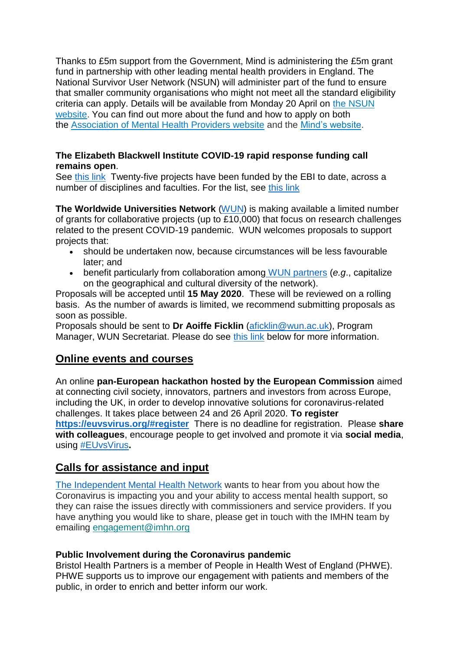Thanks to £5m support from the Government, Mind is administering the £5m grant fund in partnership with other leading mental health providers in England. The National Survivor User Network (NSUN) will administer part of the fund to ensure that smaller community organisations who might not meet all the standard eligibility criteria can apply. Details will be available from Monday 20 April on [the NSUN](https://eur01.safelinks.protection.outlook.com/?url=http%3A%2F%2Fwww.nsun.org.uk%2F&data=02%7C01%7CSalena2.Williams%40uwe.ac.uk%7C665a87d64ff946f49d7608d7e2acd2a6%7C07ef1208413c4b5e9cdd64ef305754f0%7C0%7C0%7C637227104203733037&sdata=c2Zs99qfWpKqnoZH4DXVyHe2%2FHuJ6StM%2BqbtGo9h2G0%3D&reserved=0)  [website.](https://eur01.safelinks.protection.outlook.com/?url=http%3A%2F%2Fwww.nsun.org.uk%2F&data=02%7C01%7CSalena2.Williams%40uwe.ac.uk%7C665a87d64ff946f49d7608d7e2acd2a6%7C07ef1208413c4b5e9cdd64ef305754f0%7C0%7C0%7C637227104203733037&sdata=c2Zs99qfWpKqnoZH4DXVyHe2%2FHuJ6StM%2BqbtGo9h2G0%3D&reserved=0) You can find out more about the fund and how to apply on both the [Association of Mental Health Providers website](https://eur01.safelinks.protection.outlook.com/?url=https%3A%2F%2Famhp.org.uk%2Fmental-health-response-fund&data=02%7C01%7CSalena2.Williams%40uwe.ac.uk%7C665a87d64ff946f49d7608d7e2acd2a6%7C07ef1208413c4b5e9cdd64ef305754f0%7C0%7C0%7C637227104203733037&sdata=jaMX29E8pPOcgL%2Bmqq4qwe6b1e1YUa4SbEJEnS6cBW0%3D&reserved=0) and the [Mind's website.](https://eur01.safelinks.protection.outlook.com/?url=https%3A%2F%2Fwww.mind.org.uk%2Fnews-campaigns%2Fcampaigns%2Fcoronavirus-mental-health-response-fund%2F&data=02%7C01%7CSalena2.Williams%40uwe.ac.uk%7C665a87d64ff946f49d7608d7e2acd2a6%7C07ef1208413c4b5e9cdd64ef305754f0%7C0%7C0%7C637227104203743034&sdata=IRSAQvF4kTF%2BBj%2FXrTG5VZ9Qe%2FrBlGFkZezRgQmHT9o%3D&reserved=0)

### **The Elizabeth Blackwell Institute COVID-19 rapid response funding call remains open**.

See [this link](http://www.bristol.ac.uk/blackwell/funding/covid-19/) Twenty-five projects have been funded by the EBI to date, across a number of disciplines and faculties. For the list, see [this link](http://www.bristol.ac.uk/blackwell/health-research/covid-19-research/)

**The Worldwide Universities Network** [\(WUN\)](https://wun.ac.uk/) is making available a limited number of grants for collaborative projects (up to £10,000) that focus on research challenges related to the present COVID-19 pandemic. WUN welcomes proposals to support projects that:

- should be undertaken now, because circumstances will be less favourable later; and
- benefit particularly from collaboration among [WUN partners](https://wun.ac.uk/wun/members) (*e.g*., capitalize on the geographical and cultural diversity of the network).

Proposals will be accepted until **15 May 2020**. These will be reviewed on a rolling basis. As the number of awards is limited, we recommend submitting proposals as soon as possible.

Proposals should be sent to **Dr Aoiffe Ficklin** [\(aficklin@wun.ac.uk\)](mailto:aficklin@wun.ac.uk), Program Manager, WUN Secretariat. Please do see [this link](https://wun.ac.uk/article/call-for-proposals-wun-addressing-research-needs-triggered-by-the-covid-19-pandemic) below for more information.

### <span id="page-1-0"></span>**Online events and courses**

An online **pan-European hackathon hosted by the European Commission** aimed at connecting civil society, innovators, partners and investors from across Europe, including the UK, in order to develop innovative solutions for coronavirus-related challenges. It takes place between 24 and 26 April 2020. **To register <https://euvsvirus.org/#register>** There is no deadline for registration. Please **share with colleagues**, encourage people to get involved and promote it via **social media**, using [#EUvsVirus](https://twitter.com/hashtag/euvsvirus?ref_src=twsrc%5Egoogle%7Ctwcamp%5Eserp%7Ctwgr%5Ehashtag)**.**

## <span id="page-1-1"></span>**Calls for assistance and input**

[The Independent Mental Health Network](https://www.thecareforum.org/news/covid-news-vcse/the-independent-mental-health-network-want-to-hear-about-your-experiences/) wants to hear from you about how the Coronavirus is impacting you and your ability to access mental health support, so they can raise the issues directly with commissioners and service providers. If you have anything you would like to share, please get in touch with the IMHN team by emailing [engagement@imhn.org](mailto:engagement@imhn.org)

### **Public Involvement during the Coronavirus pandemic**

Bristol Health Partners is a member of People in Health West of England (PHWE). PHWE supports us to improve our engagement with patients and members of the public, in order to enrich and better inform our work.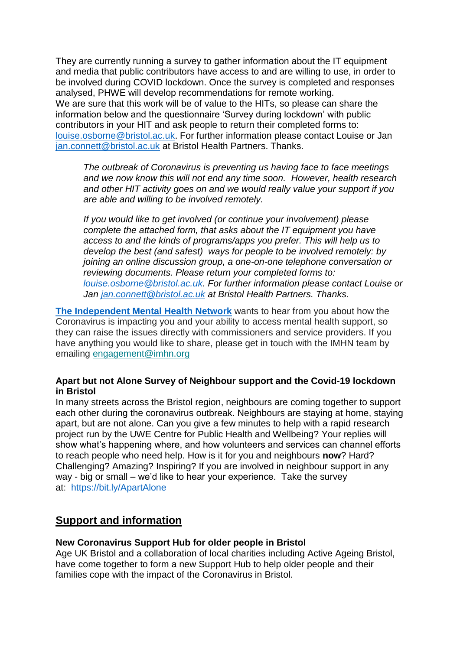They are currently running a survey to gather information about the IT equipment and media that public contributors have access to and are willing to use, in order to be involved during COVID lockdown. Once the survey is completed and responses analysed, PHWE will develop recommendations for remote working. We are sure that this work will be of value to the HITs, so please can share the information below and the questionnaire 'Survey during lockdown' with public contributors in your HIT and ask people to return their completed forms to: [louise.osborne@bristol.ac.uk.](mailto:louise.osborne@bristol.ac.uk) For further information please contact Louise or Jan [jan.connett@bristol.ac.uk](mailto:jan.connett@bristol.ac.uk) at Bristol Health Partners. Thanks.

*The outbreak of Coronavirus is preventing us having face to face meetings and we now know this will not end any time soon. However, health research and other HIT activity goes on and we would really value your support if you are able and willing to be involved remotely.*

*If you would like to get involved (or continue your involvement) please complete the attached form, that asks about the IT equipment you have access to and the kinds of programs/apps you prefer. This will help us to develop the best (and safest) ways for people to be involved remotely: by joining an online discussion group, a one-on-one telephone conversation or reviewing documents. Please return your completed forms to: [louise.osborne@bristol.ac.uk.](mailto:louise.osborne@bristol.ac.uk) For further information please contact Louise or Jan [jan.connett@bristol.ac.uk](mailto:jan.connett@bristol.ac.uk) at Bristol Health Partners. Thanks.*

**[The Independent Mental Health Network](https://www.thecareforum.org/news/covid-news-vcse/the-independent-mental-health-network-want-to-hear-about-your-experiences/)** wants to hear from you about how the Coronavirus is impacting you and your ability to access mental health support, so they can raise the issues directly with commissioners and service providers. If you have anything you would like to share, please get in touch with the IMHN team by emailing [engagement@imhn.org](mailto:engagement@imhn.org)

#### **Apart but not Alone Survey of Neighbour support and the Covid-19 lockdown in Bristol**

In many streets across the Bristol region, neighbours are coming together to support each other during the coronavirus outbreak. Neighbours are staying at home, staying apart, but are not alone. Can you give a few minutes to help with a rapid research project run by the UWE Centre for Public Health and Wellbeing? Your replies will show what's happening where, and how volunteers and services can channel efforts to reach people who need help. How is it for you and neighbours **now**? Hard? Challenging? Amazing? Inspiring? If you are involved in neighbour support in any way - big or small – we'd like to hear your experience. Take the survey at: [https://bit.ly/ApartAlone](https://eur01.safelinks.protection.outlook.com/?url=https%3A%2F%2Fbit.ly%2FApartAlone&data=02%7C01%7CSelena.Gray%40uwe.ac.uk%7Cb994378f57ef4f06492f08d7dbcde3c4%7C07ef1208413c4b5e9cdd64ef305754f0%7C0%7C0%7C637219549643561093&sdata=aeJkxQV7EAL%2F%2BqI5VvKEpuVvbO4JK9HmQG17TAImFvI%3D&reserved=0)

## <span id="page-2-0"></span>**Support and information**

#### **New Coronavirus Support Hub for older people in Bristol**

Age UK Bristol and a collaboration of local charities including Active Ageing Bristol, have come together to form a new Support Hub to help older people and their families cope with the impact of the Coronavirus in Bristol.